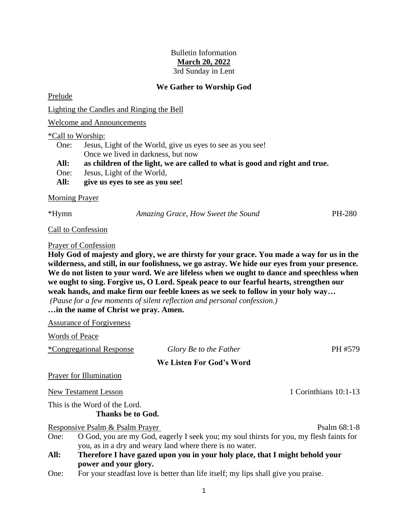### Bulletin Information **March 20, 2022** 3rd Sunday in Lent

# **We Gather to Worship God**

Prelude

Lighting the Candles and Ringing the Bell

Welcome and Announcements

#### \*Call to Worship:

| All: | give us eyes to see as you see!                                             |
|------|-----------------------------------------------------------------------------|
| One: | Jesus, Light of the World,                                                  |
| All: | as children of the light, we are called to what is good and right and true. |
|      | Once we lived in darkness, but now                                          |
| One: | Jesus, Light of the World, give us eyes to see as you see!                  |
|      |                                                                             |

#### Morning Prayer

\*Hymn *Amazing Grace, How Sweet the Sound* PH-280

Call to Confession

#### Prayer of Confession

**Holy God of majesty and glory, we are thirsty for your grace. You made a way for us in the wilderness, and still, in our foolishness, we go astray. We hide our eyes from your presence. We do not listen to your word. We are lifeless when we ought to dance and speechless when we ought to sing. Forgive us, O Lord. Speak peace to our fearful hearts, strengthen our weak hands, and make firm our feeble knees as we seek to follow in your holy way…**

*(Pause for a few moments of silent reflection and personal confession.)*

# **…in the name of Christ we pray. Amen.**

Assurance of Forgiveness

Words of Peace

| <i>*Congregational Response</i>                    | Glory Be to the Father                                                                  | PH #579               |  |
|----------------------------------------------------|-----------------------------------------------------------------------------------------|-----------------------|--|
|                                                    | We Listen For God's Word                                                                |                       |  |
| <b>Prayer for Illumination</b>                     |                                                                                         |                       |  |
| New Testament Lesson                               |                                                                                         | 1 Corinthians 10:1-13 |  |
| This is the Word of the Lord.<br>Thanks be to God. |                                                                                         |                       |  |
| Responsive Psalm & Psalm Prayer                    |                                                                                         | Psalm $68:1-8$        |  |
| One:                                               | O God, you are my God, eagerly I seek you; my soul thirsts for you, my flesh faints for |                       |  |
|                                                    | you, as in a dry and weary land where there is no water.                                |                       |  |
| All:                                               | Therefore I have gazed upon you in your holy place, that I might behold your            |                       |  |

- **All: Therefore I have gazed upon you in your holy place, that I might behold your power and your glory.**
- One: For your steadfast love is better than life itself; my lips shall give you praise.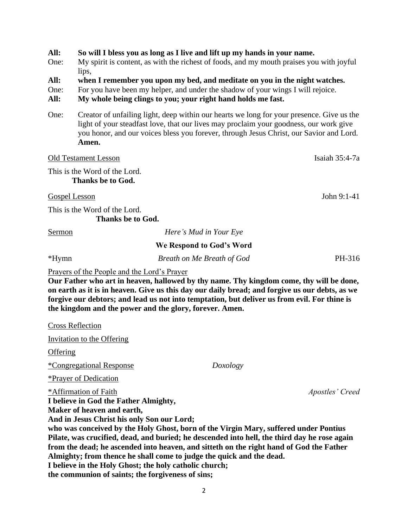**All: So will I bless you as long as I live and lift up my hands in your name.**

One: My spirit is content, as with the richest of foods, and my mouth praises you with joyful lips,

- **All: when I remember you upon my bed, and meditate on you in the night watches.**
- One: For you have been my helper, and under the shadow of your wings I will rejoice.

**All: My whole being clings to you; your right hand holds me fast.**

One: Creator of unfailing light, deep within our hearts we long for your presence. Give us the light of your steadfast love, that our lives may proclaim your goodness, our work give you honor, and our voices bless you forever, through Jesus Christ, our Savior and Lord. **Amen.**

Old Testament Lesson Isaiah 35:4-7a This is the Word of the Lord. **Thanks be to God.** Gospel Lesson John 9:1-41 This is the Word of the Lord. **Thanks be to God.** Sermon *Here's Mud in Your Eye*

| ~~******                                    |                            |        |
|---------------------------------------------|----------------------------|--------|
|                                             | We Respond to God's Word   |        |
| *Hymn                                       | Breath on Me Breath of God | PH-316 |
| Prayers of the People and the Lord's Prayer |                            |        |
|                                             |                            |        |

**Our Father who art in heaven, hallowed by thy name. Thy kingdom come, thy will be done, on earth as it is in heaven. Give us this day our daily bread; and forgive us our debts, as we forgive our debtors; and lead us not into temptation, but deliver us from evil. For thine is the kingdom and the power and the glory, forever. Amen.**

Cross Reflection Invitation to the Offering **Offering** \*Congregational Response *Doxology* \*Prayer of Dedication \*Affirmation of Faith *Apostles' Creed* **I believe in God the Father Almighty, Maker of heaven and earth, And in Jesus Christ his only Son our Lord; who was conceived by the Holy Ghost, born of the Virgin Mary, suffered under Pontius Pilate, was crucified, dead, and buried; he descended into hell, the third day he rose again from the dead; he ascended into heaven, and sitteth on the right hand of God the Father Almighty; from thence he shall come to judge the quick and the dead. I believe in the Holy Ghost; the holy catholic church;** 

**the communion of saints; the forgiveness of sins;**